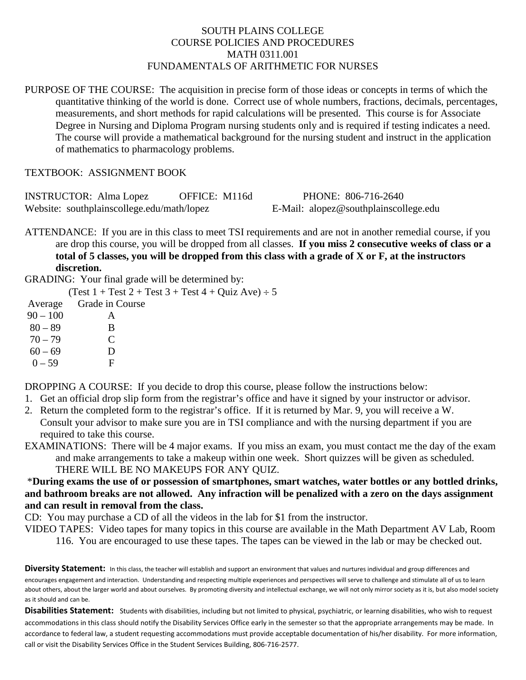## SOUTH PLAINS COLLEGE COURSE POLICIES AND PROCEDURES MATH 0311.001 FUNDAMENTALS OF ARITHMETIC FOR NURSES

PURPOSE OF THE COURSE: The acquisition in precise form of those ideas or concepts in terms of which the quantitative thinking of the world is done. Correct use of whole numbers, fractions, decimals, percentages, measurements, and short methods for rapid calculations will be presented. This course is for Associate Degree in Nursing and Diploma Program nursing students only and is required if testing indicates a need. The course will provide a mathematical background for the nursing student and instruct in the application of mathematics to pharmacology problems.

TEXTBOOK: ASSIGNMENT BOOK

| <b>INSTRUCTOR:</b> Alma Lopez              | OFFICE: M116d | PHONE: 806-716-2640                   |  |
|--------------------------------------------|---------------|---------------------------------------|--|
| Website: southplainscollege.edu/math/lopez |               | E-Mail: alopez@southplainscollege.edu |  |

ATTENDANCE: If you are in this class to meet TSI requirements and are not in another remedial course, if you are drop this course, you will be dropped from all classes. **If you miss 2 consecutive weeks of class or a total of 5 classes, you will be dropped from this class with a grade of X or F, at the instructors discretion.** 

GRADING: Your final grade will be determined by:

|           |                 | $(Test 1 + Test 2 + Test 3 + Test 4 + Quiz Ave) \div 5$ |
|-----------|-----------------|---------------------------------------------------------|
| Average   | Grade in Course |                                                         |
| 90 – 100  |                 |                                                         |
| $80 - 89$ | в               |                                                         |
| $70 - 79$ |                 |                                                         |
|           |                 |                                                         |

| $60 - 69$ | D |
|-----------|---|
| $0 - 59$  | F |

DROPPING A COURSE: If you decide to drop this course, please follow the instructions below:

- 1. Get an official drop slip form from the registrar's office and have it signed by your instructor or advisor.
- 2. Return the completed form to the registrar's office. If it is returned by Mar. 9, you will receive a W. Consult your advisor to make sure you are in TSI compliance and with the nursing department if you are required to take this course.
- EXAMINATIONS: There will be 4 major exams. If you miss an exam, you must contact me the day of the exam and make arrangements to take a makeup within one week. Short quizzes will be given as scheduled. THERE WILL BE NO MAKEUPS FOR ANY QUIZ.

## \***During exams the use of or possession of smartphones, smart watches, water bottles or any bottled drinks, and bathroom breaks are not allowed. Any infraction will be penalized with a zero on the days assignment and can result in removal from the class.**

CD: You may purchase a CD of all the videos in the lab for \$1 from the instructor.

VIDEO TAPES: Video tapes for many topics in this course are available in the Math Department AV Lab, Room 116. You are encouraged to use these tapes. The tapes can be viewed in the lab or may be checked out.

**Diversity Statement:** In this class, the teacher will establish and support an environment that values and nurtures individual and group differences and encourages engagement and interaction. Understanding and respecting multiple experiences and perspectives will serve to challenge and stimulate all of us to learn about others, about the larger world and about ourselves. By promoting diversity and intellectual exchange, we will not only mirror society as it is, but also model society as it should and can be.

**Disabilities Statement:** Students with disabilities, including but not limited to physical, psychiatric, or learning disabilities, who wish to request accommodations in this class should notify the Disability Services Office early in the semester so that the appropriate arrangements may be made. In accordance to federal law, a student requesting accommodations must provide acceptable documentation of his/her disability. For more information, call or visit the Disability Services Office in the Student Services Building, 806-716-2577.